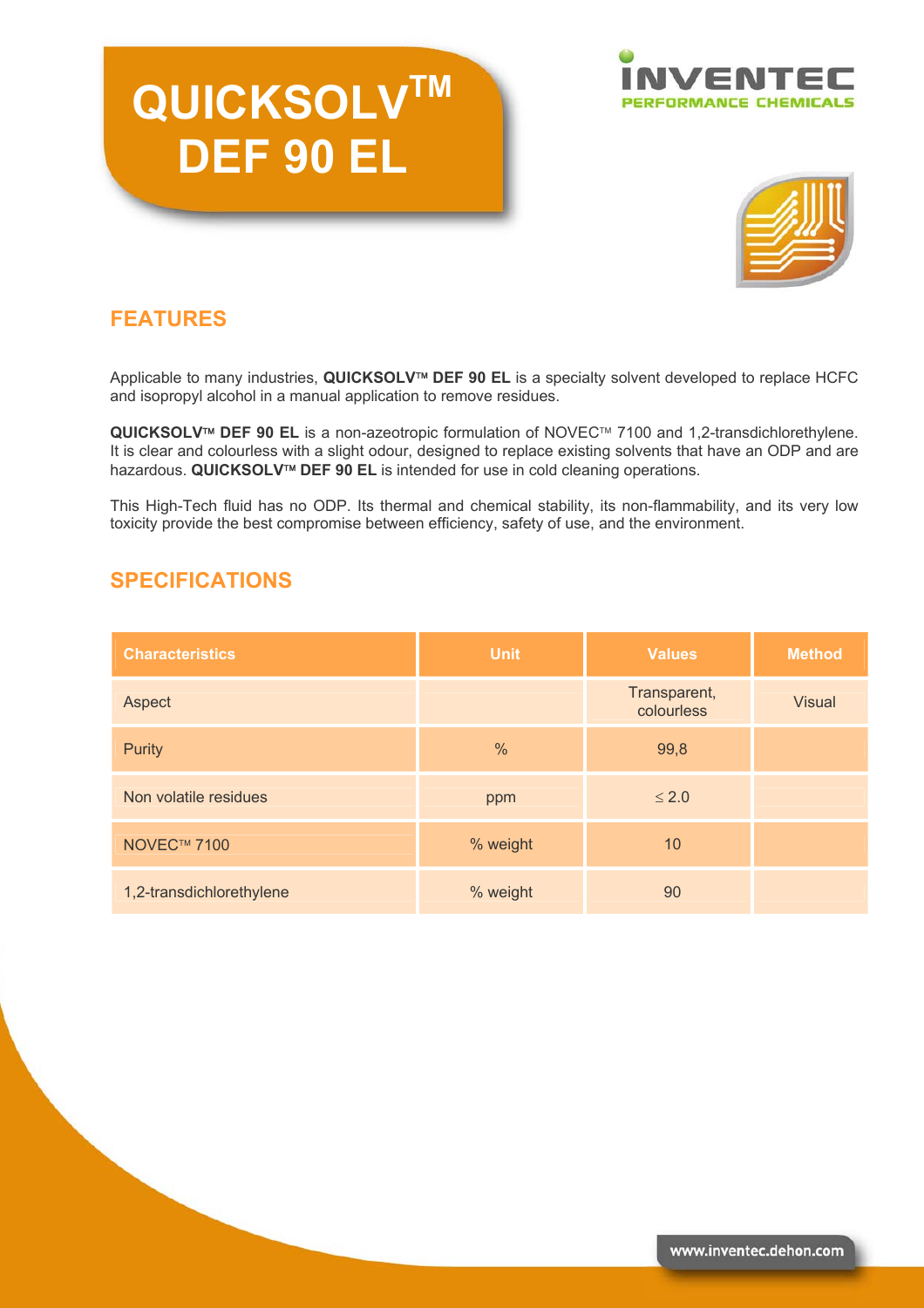# **QUICKSOLVTM DEF 90 EL**





### **FEATURES**

Applicable to many industries, QUICKSOLV<sup>™</sup> DEF 90 EL is a specialty solvent developed to replace HCFC and isopropyl alcohol in a manual application to remove residues.

QUICKSOLV<sup>™</sup> DEF 90 EL is a non-azeotropic formulation of NOVEC™ 7100 and 1,2-transdichlorethylene. It is clear and colourless with a slight odour, designed to replace existing solvents that have an ODP and are hazardous. **QUICKSOLV<sup>™</sup> DEF 90 EL** is intended for use in cold cleaning operations.

This High-Tech fluid has no ODP. Its thermal and chemical stability, its non-flammability, and its very low toxicity provide the best compromise between efficiency, safety of use, and the environment.

#### **SPECIFICATIONS**

| <b>Characteristics</b>   | <b>Unit</b>   | <b>Values</b>              | <b>Method</b> |
|--------------------------|---------------|----------------------------|---------------|
| Aspect                   |               | Transparent,<br>colourless | <b>Visual</b> |
| <b>Purity</b>            | $\frac{0}{0}$ | 99,8                       |               |
| Non volatile residues    | ppm           | $\leq 2.0$                 |               |
| NOVEC™ 7100              | % weight      | 10                         |               |
| 1,2-transdichlorethylene | % weight      | 90                         |               |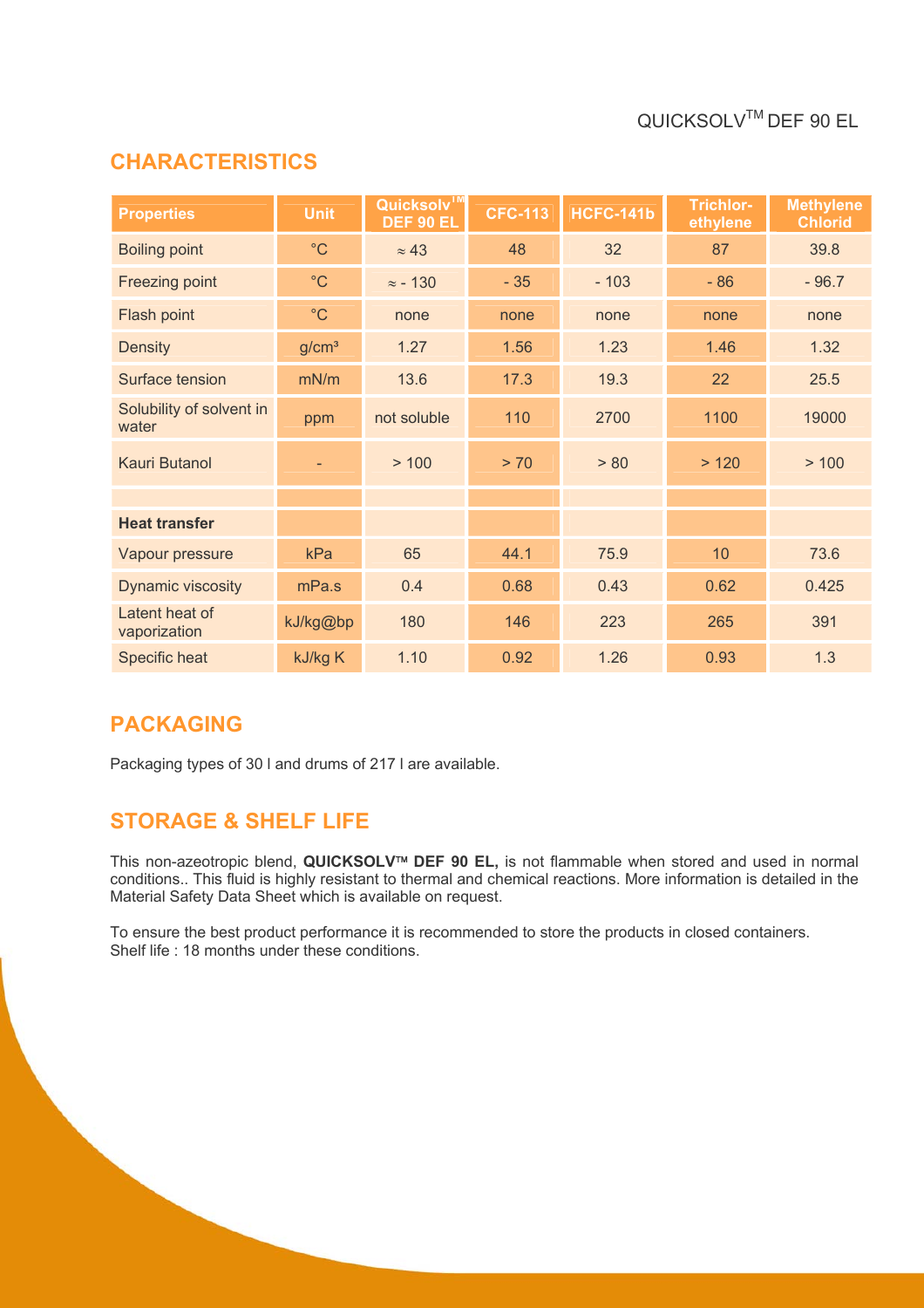## QUICKSOLVTM DEF 90 EL

#### **CHARACTERISTICS**

| <b>Properties</b>                 | <b>Unit</b>       | Quicksolv™<br>DEF 90 EL | <b>CFC-113</b> | HCFC-141b | <b>Trichlor-</b><br>ethylene | <b>Methylene</b><br><b>Chlorid</b> |
|-----------------------------------|-------------------|-------------------------|----------------|-----------|------------------------------|------------------------------------|
| <b>Boiling point</b>              | $^{\circ}$ C      | $\approx 43$            | 48             | 32        | 87                           | 39.8                               |
| Freezing point                    | $^{\circ}$ C      | $\approx$ - 130         | $-35$          | $-103$    | $-86$                        | $-96.7$                            |
| Flash point                       | $^{\circ}$ C      | none                    | none           | none      | none                         | none                               |
| <b>Density</b>                    | g/cm <sup>3</sup> | 1.27                    | 1.56           | 1.23      | 1.46                         | 1.32                               |
| Surface tension                   | mN/m              | 13.6                    | 17.3           | 19.3      | 22                           | 25.5                               |
| Solubility of solvent in<br>water | ppm               | not soluble             | 110            | 2700      | 1100                         | 19000                              |
| Kauri Butanol                     |                   | > 100                   | > 70           | > 80      | >120                         | > 100                              |
|                                   |                   |                         |                |           |                              |                                    |
| <b>Heat transfer</b>              |                   |                         |                |           |                              |                                    |
| Vapour pressure                   | kPa               | 65                      | 44.1           | 75.9      | 10                           | 73.6                               |
| Dynamic viscosity                 | mPa.s             | 0.4                     | 0.68           | 0.43      | 0.62                         | 0.425                              |
| Latent heat of<br>vaporization    | kJ/kg@bp          | 180                     | 146            | 223       | 265                          | 391                                |
| Specific heat                     | kJ/kg K           | 1.10                    | 0.92           | 1.26      | 0.93                         | 1.3                                |

#### **PACKAGING**

Packaging types of 30 l and drums of 217 l are available.

#### **STORAGE & SHELF LIFE**

This non-azeotropic blend, **QUICKSOLV**<sup>™</sup> DEF 90 EL, is not flammable when stored and used in normal conditions.. This fluid is highly resistant to thermal and chemical reactions. More information is detailed in the Material Safety Data Sheet which is available on request.

To ensure the best product performance it is recommended to store the products in closed containers. Shelf life : 18 months under these conditions.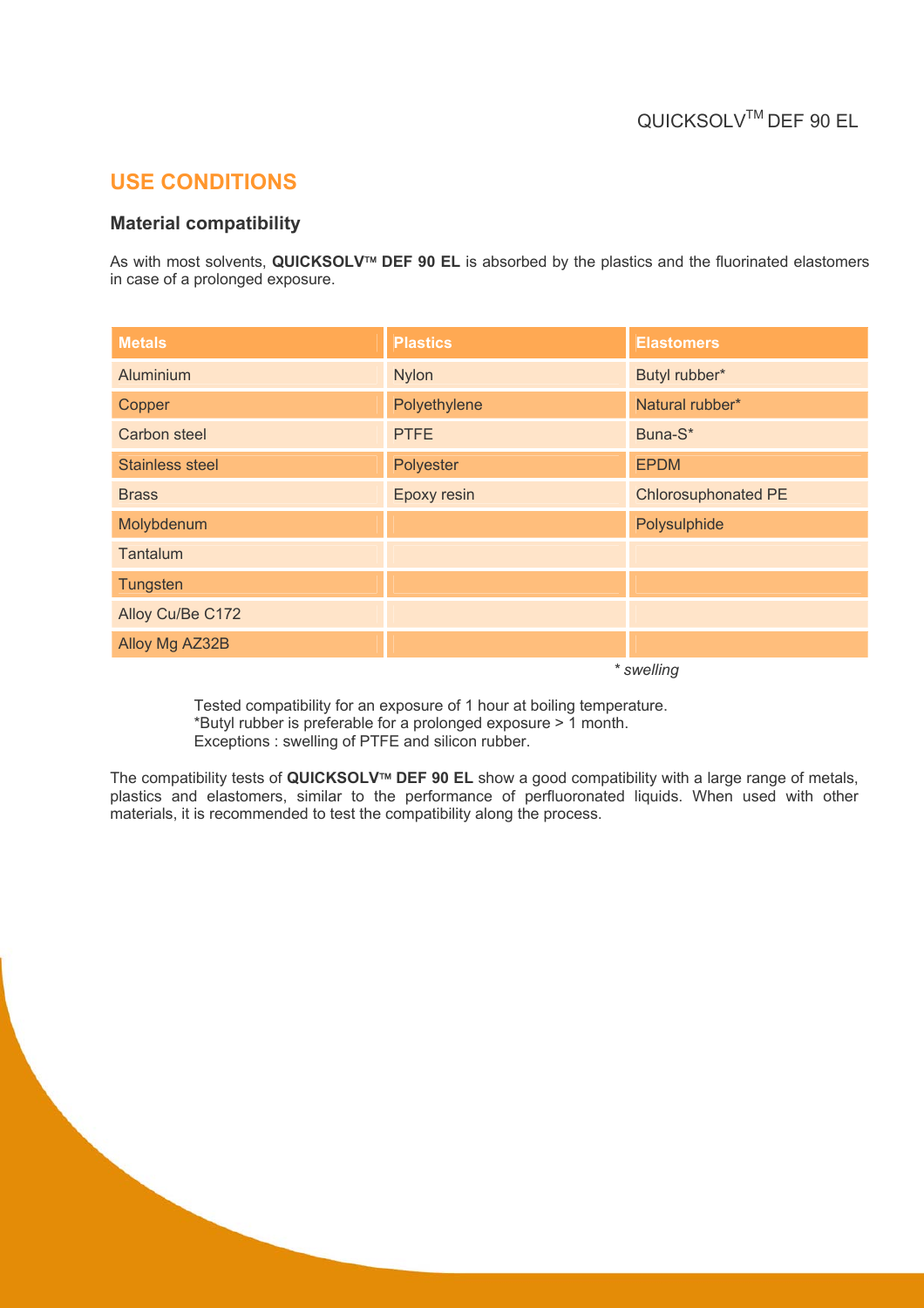#### **USE CONDITIONS**

#### **Material compatibility**

As with most solvents, QUICKSOLV<sup>™</sup> DEF 90 EL is absorbed by the plastics and the fluorinated elastomers in case of a prolonged exposure.

| <b>Metals</b>          | <b>Plastics</b> | <b>Elastomers</b>          |
|------------------------|-----------------|----------------------------|
| Aluminium              | <b>Nylon</b>    | Butyl rubber*              |
| Copper                 | Polyethylene    | Natural rubber*            |
| <b>Carbon steel</b>    | <b>PTFE</b>     | Buna-S*                    |
| <b>Stainless steel</b> | Polyester       | <b>EPDM</b>                |
| <b>Brass</b>           | Epoxy resin     | <b>Chlorosuphonated PE</b> |
| Molybdenum             |                 | Polysulphide               |
| Tantalum               |                 |                            |
| Tungsten               |                 |                            |
| Alloy Cu/Be C172       |                 |                            |
| Alloy Mg AZ32B         |                 |                            |

*\* swelling* 

Tested compatibility for an exposure of 1 hour at boiling temperature. \*Butyl rubber is preferable for a prolonged exposure > 1 month. Exceptions : swelling of PTFE and silicon rubber.

The compatibility tests of QUICKSOLV<sup>™</sup> DEF 90 EL show a good compatibility with a large range of metals, plastics and elastomers, similar to the performance of perfluoronated liquids. When used with other materials, it is recommended to test the compatibility along the process.